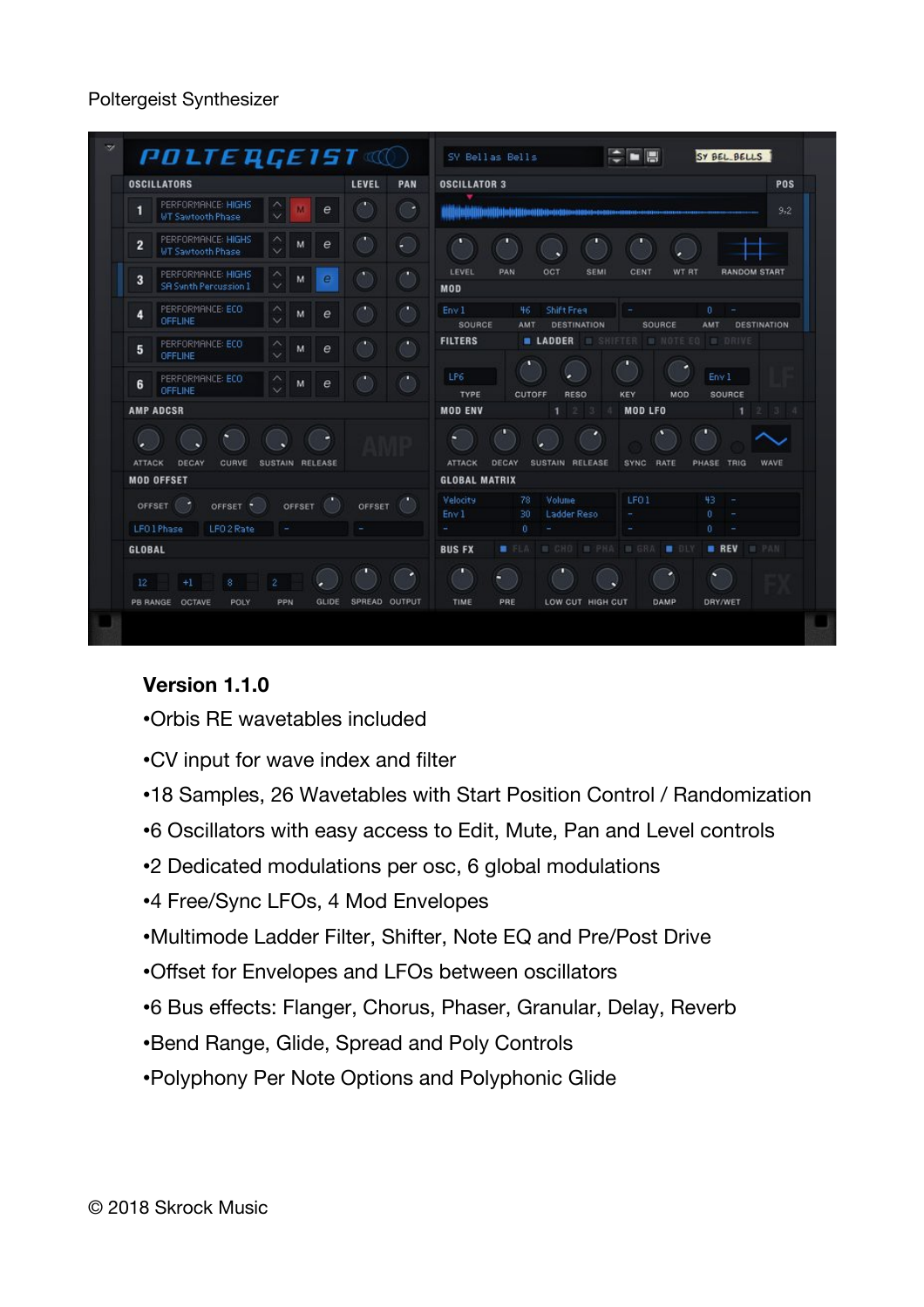## Poltergeist Synthesizer

| LEVEL<br><b>OSCILLATORS</b><br>PAN                 |                                                    |                  |  |               | POS<br><b>OSCILLATOR 3</b>                                                                                          |
|----------------------------------------------------|----------------------------------------------------|------------------|--|---------------|---------------------------------------------------------------------------------------------------------------------|
| 1                                                  | PERFORMANCE: HIGHS<br><b>WT Sawtooth Phase</b>     | e                |  | œ             | 9,2<br>Altitula altitul sittelu kolliteen kuni ole ole osa on on on t                                               |
| $\overline{2}$                                     | PERFORMANCE: HIGHS<br><b>WT Sawtooth Phase</b>     | $\epsilon$<br>M. |  | €             |                                                                                                                     |
| 3                                                  | PERFORMANCE: HIGHS<br><b>SR Synth Percussion 1</b> | e<br>м           |  | m,            | OCT<br>LEVEL<br><b>PAN</b><br>SEMI<br><b>CENT</b><br>WT RT<br><b>RANDOM START</b><br>MOD                            |
| 4                                                  | PERFORMANCE: ECO.<br><b>OFFLINE</b>                | $\epsilon$<br>M  |  |               | 46<br>Shift Freq<br>Env 1<br>$\theta$<br>SOURCE<br><b>DESTINATION</b><br>AMT<br>SOURCE<br>AMT<br><b>DESTINATION</b> |
| 5                                                  | PERFORMANCE: ECO<br><b>OFFLINE</b>                 | M<br>e           |  | m             | <b>FILTERS</b><br><b>E LADDER E SHIFTER B NOTE ES B DRIVE</b>                                                       |
| 6                                                  | PERFORMANCE: ECO<br>OFFLINE                        | $\epsilon$<br>M  |  |               | LP6<br>Env <sub>1</sub><br><b>TYPE</b><br>CUTOFF<br><b>RESO</b><br>SOURCE<br>KEY<br>MOD                             |
| <b>AMP ADCSR</b>                                   |                                                    |                  |  |               | <b>MOD ENV</b><br><b>MOD LFO</b><br>٠<br>234<br>$\ddot{\phantom{1}}$<br>$2 \cdot 3 \cdot 4$                         |
| <b>ATTACK</b><br>DECAY<br>CURVE<br>SUSTAIN RELEASE |                                                    |                  |  |               | <b>ATTACK</b><br>DECAY<br>SUSTAIN RELEASE<br><b>SYNC</b><br>RATE<br>PHASE TRIG<br>WAVE                              |
| <b>MOD OFFSET</b>                                  |                                                    |                  |  |               | <b>GLOBAL MATRIX</b>                                                                                                |
| OFFSET<br>OFFSET 7<br>OFFSET (<br>OFFSET           |                                                    |                  |  |               | Volume<br>LFO <sub>1</sub><br>43<br><b>Velocity</b><br>78<br>Env <sub>1</sub><br>30<br>Ladder Reso<br>0.            |
| LFO1Phase<br>LFO <sub>2</sub> Rate                 |                                                    |                  |  |               | $\Omega$<br>0                                                                                                       |
| <b>GLOBAL</b>                                      |                                                    |                  |  |               | <b>M CHO M PHA M GRA</b><br><b>B</b> DLY<br>$B$ REV<br><b>B</b> PAN<br><b>BUS FX</b><br>E.ELA                       |
| 12 <sup>°</sup>                                    | $+1$<br>8                                          | $\overline{2}$   |  |               |                                                                                                                     |
|                                                    | PB RANGE OCTAVE<br>POLY                            | PPN<br>GLIDE.    |  | SPREAD OUTPUT | TIME<br>PRE<br>LOW CUT HIGH CUT<br>DAMP<br>DRY/WET                                                                  |

## **Version 1.1.0**

- •Orbis RE wavetables included
- •CV input for wave index and flter
- •18 Samples, 26 Wavetables with Start Position Control / Randomization
- •6 Oscillators with easy access to Edit, Mute, Pan and Level controls
- •2 Dedicated modulations per osc, 6 global modulations
- •4 Free/Sync LFOs, 4 Mod Envelopes
- •Multimode Ladder Filter, Shifter, Note EQ and Pre/Post Drive
- •Offset for Envelopes and LFOs between oscillators
- •6 Bus efects: Flanger, Chorus, Phaser, Granular, Delay, Reverb
- •Bend Range, Glide, Spread and Poly Controls
- •Polyphony Per Note Options and Polyphonic Glide